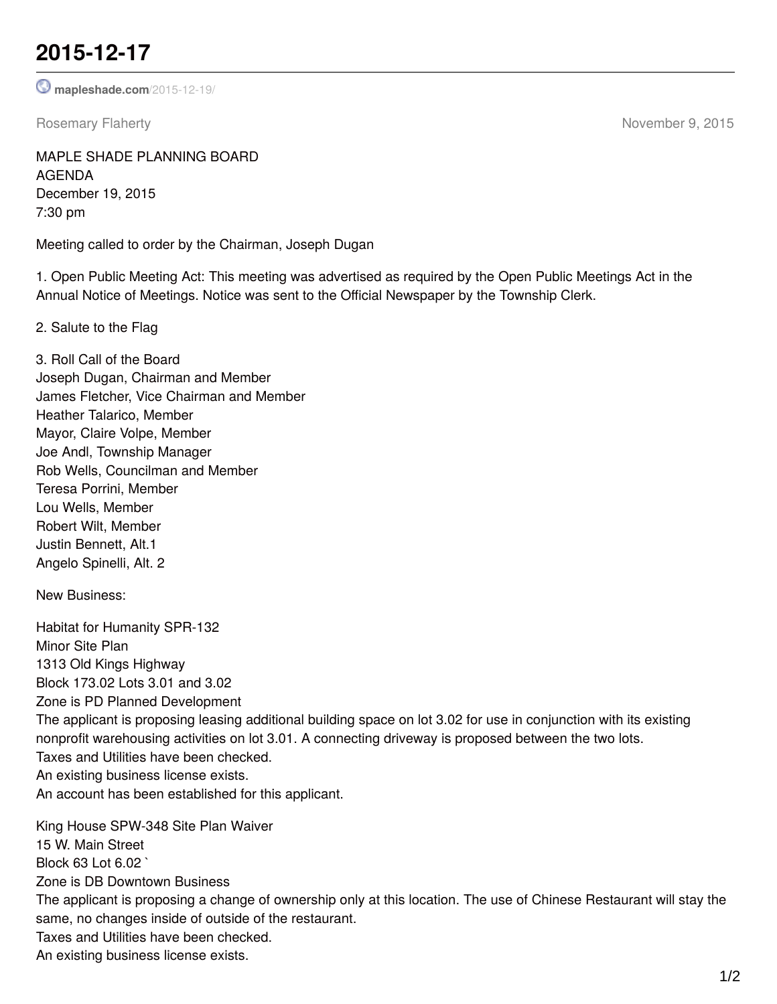## **2015-12-17**

**[mapleshade.com](http://www.mapleshade.com/2015-12-19/)**/2015-12-19/

Rosemary Flaherty **November 9, 2015** 

MAPLE SHADE PLANNING BOARD AGENDA December 19, 2015 7:30 pm

Meeting called to order by the Chairman, Joseph Dugan

1. Open Public Meeting Act: This meeting was advertised as required by the Open Public Meetings Act in the Annual Notice of Meetings. Notice was sent to the Official Newspaper by the Township Clerk.

2. Salute to the Flag

3. Roll Call of the Board Joseph Dugan, Chairman and Member James Fletcher, Vice Chairman and Member Heather Talarico, Member Mayor, Claire Volpe, Member Joe Andl, Township Manager Rob Wells, Councilman and Member Teresa Porrini, Member Lou Wells, Member Robert Wilt, Member Justin Bennett, Alt.1 Angelo Spinelli, Alt. 2

New Business:

Habitat for Humanity SPR-132 Minor Site Plan 1313 Old Kings Highway Block 173.02 Lots 3.01 and 3.02 Zone is PD Planned Development The applicant is proposing leasing additional building space on lot 3.02 for use in conjunction with its existing nonprofit warehousing activities on lot 3.01. A connecting driveway is proposed between the two lots. Taxes and Utilities have been checked. An existing business license exists. An account has been established for this applicant. King House SPW-348 Site Plan Waiver 15 W. Main Street Block 63 Lot 6.02 ` Zone is DB Downtown Business

The applicant is proposing a change of ownership only at this location. The use of Chinese Restaurant will stay the same, no changes inside of outside of the restaurant.

Taxes and Utilities have been checked.

An existing business license exists.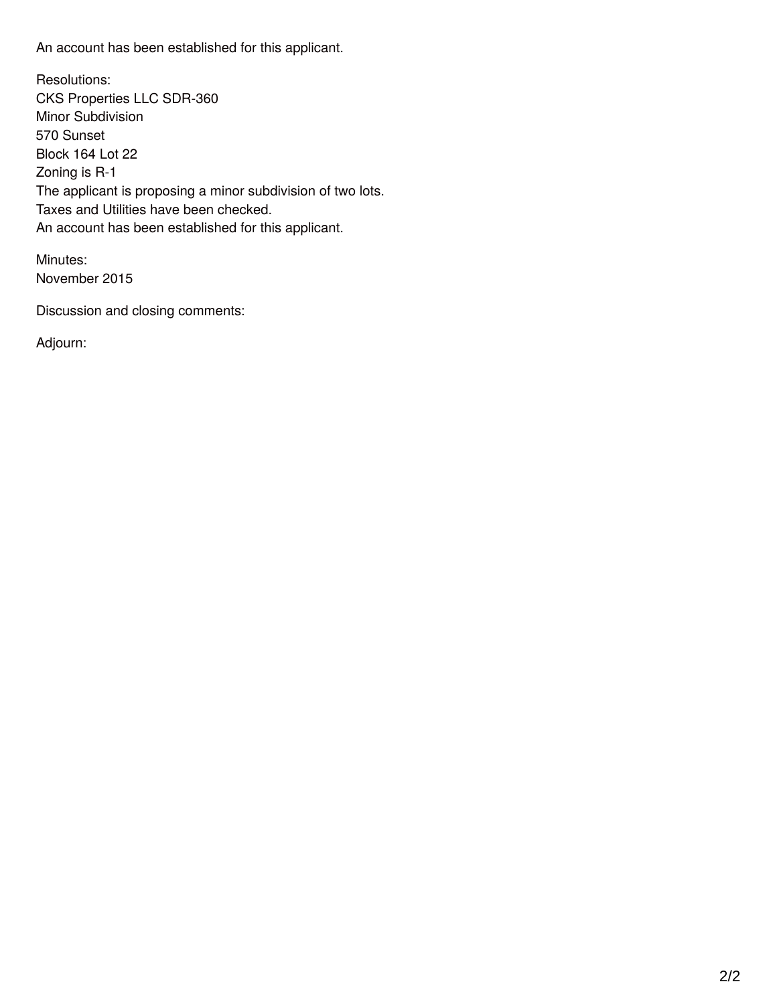An account has been established for this applicant.

Resolutions: CKS Properties LLC SDR-360 Minor Subdivision 570 Sunset Block 164 Lot 22 Zoning is R-1 The applicant is proposing a minor subdivision of two lots. Taxes and Utilities have been checked. An account has been established for this applicant.

Minutes: November 2015

Discussion and closing comments:

Adjourn: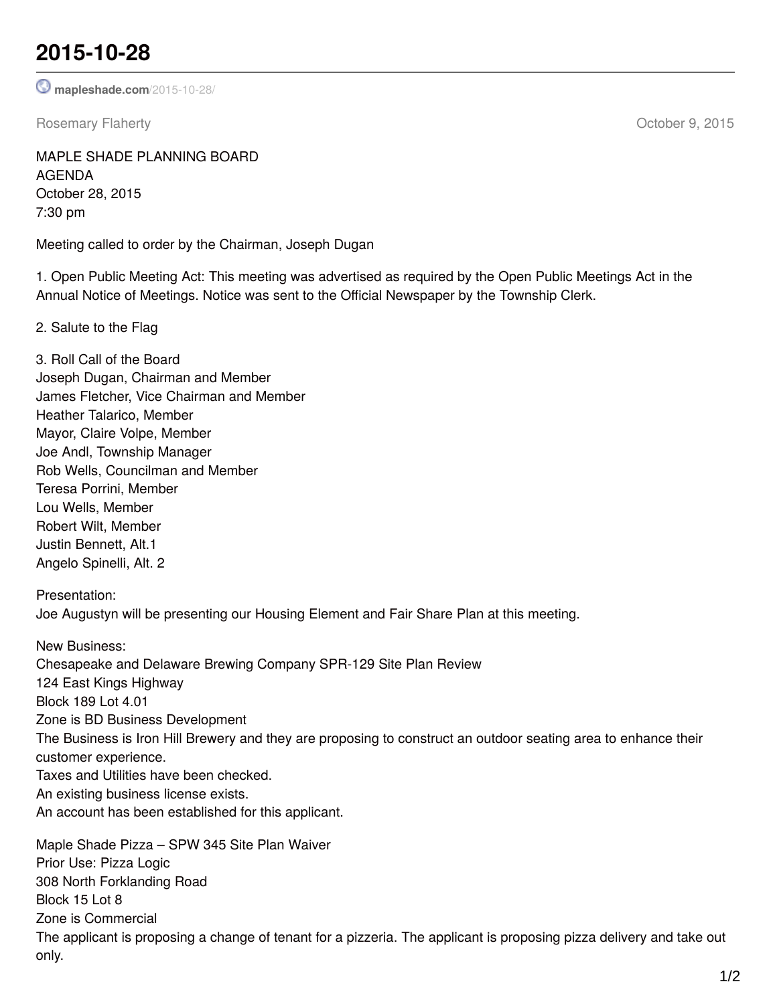## **2015-10-28**

**[mapleshade.com](http://www.mapleshade.com/2015-10-28/)**/2015-10-28/

Rosemary Flaherty **Community** Community Community Community Community Community Community Community Community Community Community Community Community Community Community Community Community Community Community Community Co

MAPLE SHADE PLANNING BOARD AGENDA October 28, 2015 7:30 pm

Meeting called to order by the Chairman, Joseph Dugan

1. Open Public Meeting Act: This meeting was advertised as required by the Open Public Meetings Act in the Annual Notice of Meetings. Notice was sent to the Official Newspaper by the Township Clerk.

2. Salute to the Flag

3. Roll Call of the Board Joseph Dugan, Chairman and Member James Fletcher, Vice Chairman and Member Heather Talarico, Member Mayor, Claire Volpe, Member Joe Andl, Township Manager Rob Wells, Councilman and Member Teresa Porrini, Member Lou Wells, Member Robert Wilt, Member Justin Bennett, Alt.1 Angelo Spinelli, Alt. 2

Presentation: Joe Augustyn will be presenting our Housing Element and Fair Share Plan at this meeting.

New Business: Chesapeake and Delaware Brewing Company SPR-129 Site Plan Review 124 East Kings Highway Block 189 Lot 4.01 Zone is BD Business Development The Business is Iron Hill Brewery and they are proposing to construct an outdoor seating area to enhance their customer experience. Taxes and Utilities have been checked. An existing business license exists. An account has been established for this applicant.

Maple Shade Pizza – SPW 345 Site Plan Waiver Prior Use: Pizza Logic 308 North Forklanding Road Block 15 Lot 8 Zone is Commercial The applicant is proposing a change of tenant for a pizzeria. The applicant is proposing pizza delivery and take out only.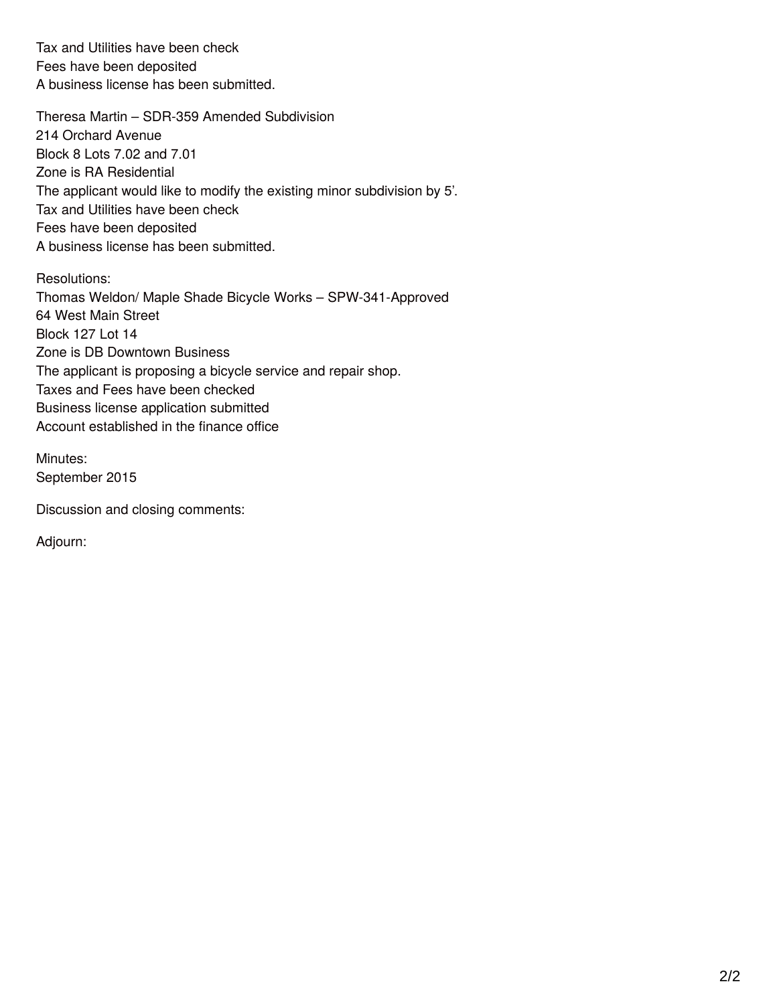Tax and Utilities have been check Fees have been deposited A business license has been submitted.

Theresa Martin – SDR-359 Amended Subdivision 214 Orchard Avenue Block 8 Lots 7.02 and 7.01 Zone is RA Residential The applicant would like to modify the existing minor subdivision by 5'. Tax and Utilities have been check Fees have been deposited A business license has been submitted.

Resolutions: Thomas Weldon/ Maple Shade Bicycle Works – SPW-341-Approved 64 West Main Street Block 127 Lot 14 Zone is DB Downtown Business The applicant is proposing a bicycle service and repair shop. Taxes and Fees have been checked Business license application submitted Account established in the finance office

Minutes: September 2015

Discussion and closing comments:

Adjourn: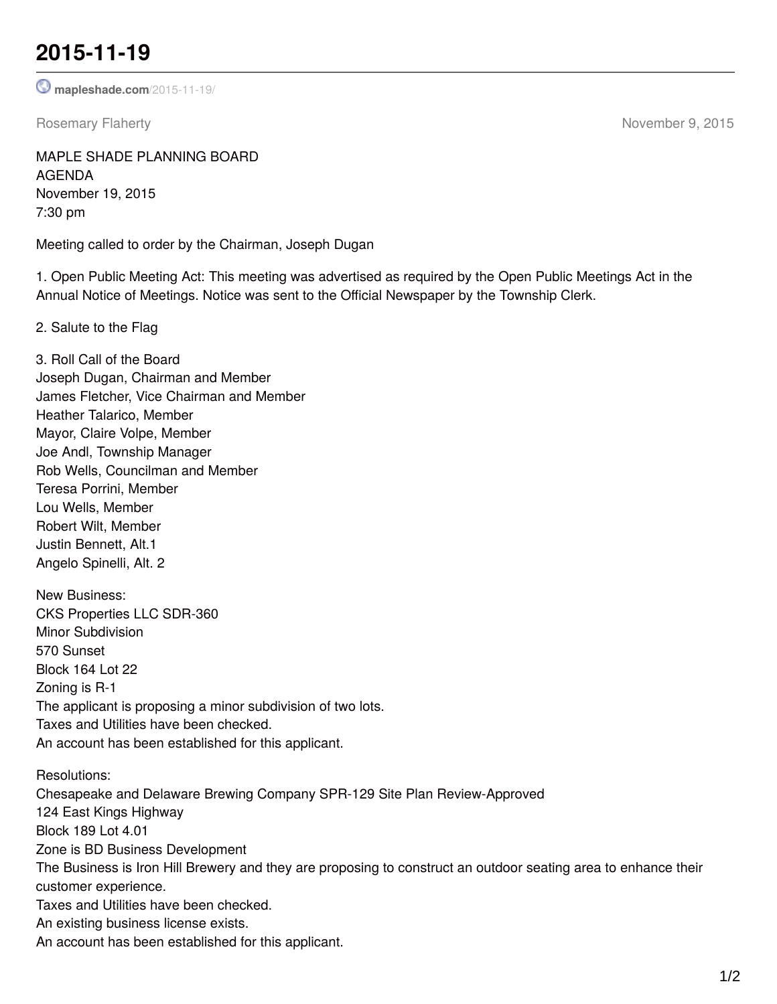## **2015-11-19**

**[mapleshade.com](http://www.mapleshade.com/2015-11-19/)**/2015-11-19/

Rosemary Flaherty **November 9, 2015** 

MAPLE SHADE PLANNING BOARD AGENDA November 19, 2015 7:30 pm

Meeting called to order by the Chairman, Joseph Dugan

1. Open Public Meeting Act: This meeting was advertised as required by the Open Public Meetings Act in the Annual Notice of Meetings. Notice was sent to the Official Newspaper by the Township Clerk.

2. Salute to the Flag

3. Roll Call of the Board Joseph Dugan, Chairman and Member James Fletcher, Vice Chairman and Member Heather Talarico, Member Mayor, Claire Volpe, Member Joe Andl, Township Manager Rob Wells, Councilman and Member Teresa Porrini, Member Lou Wells, Member Robert Wilt, Member Justin Bennett, Alt.1 Angelo Spinelli, Alt. 2 New Business: CKS Properties LLC SDR-360 Minor Subdivision 570 Sunset Block 164 Lot 22 Zoning is R-1 The applicant is proposing a minor subdivision of two lots. Taxes and Utilities have been checked. An account has been established for this applicant. Resolutions: Chesapeake and Delaware Brewing Company SPR-129 Site Plan Review-Approved 124 East Kings Highway Block 189 Lot 4.01 Zone is BD Business Development The Business is Iron Hill Brewery and they are proposing to construct an outdoor seating area to enhance their customer experience. Taxes and Utilities have been checked. An existing business license exists. An account has been established for this applicant.